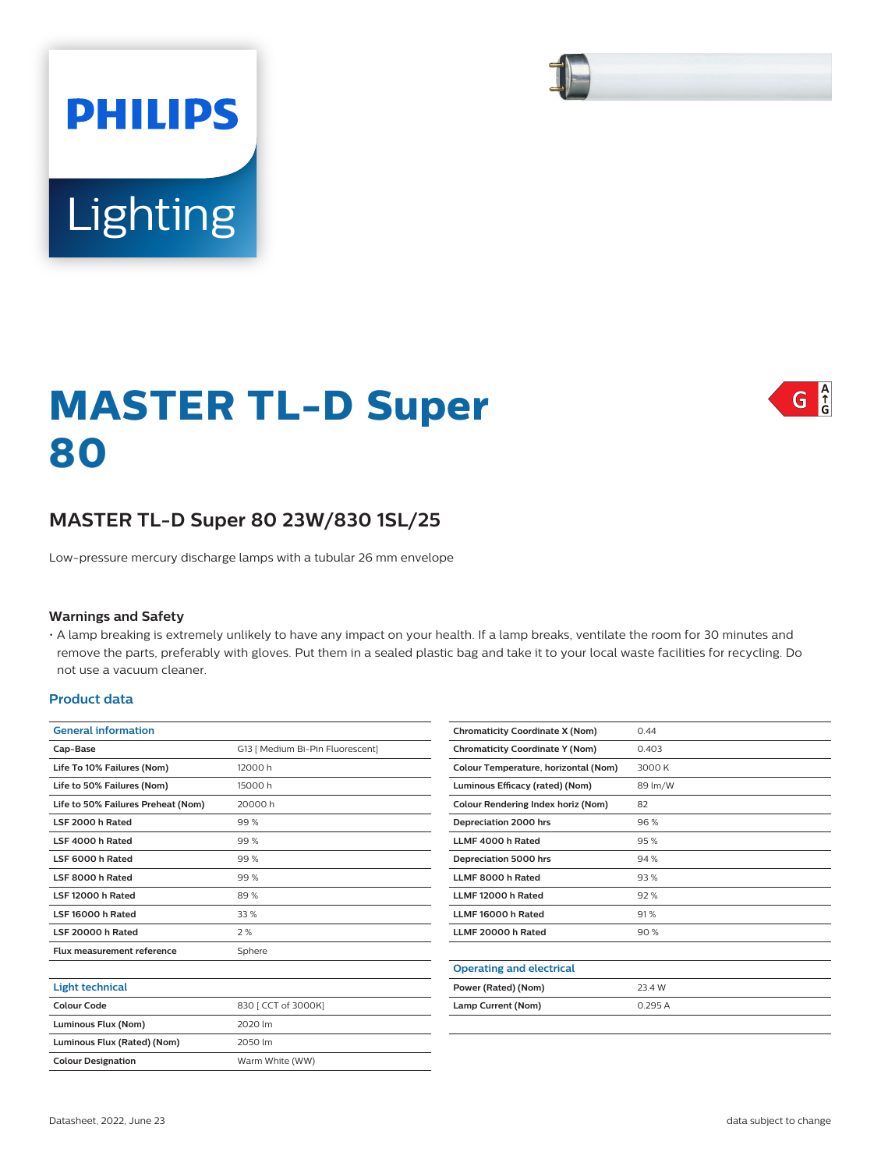# Lighting

**PHILIPS** 

# $G \nvert_{G}^A$

# **MASTER TL-D Super 80**

# **MASTER TL-D Super 80 23W/830 1SL/25**

Low-pressure mercury discharge lamps with a tubular 26 mm envelope

#### **Warnings and Safety**

• A lamp breaking is extremely unlikely to have any impact on your health. If a lamp breaks, ventilate the room for 30 minutes and remove the parts, preferably with gloves. Put them in a sealed plastic bag and take it to your local waste facilities for recycling. Do not use a vacuum cleaner.

#### **Product data**

| <b>General information</b>         |                                  |  |  |  |
|------------------------------------|----------------------------------|--|--|--|
| Cap-Base                           | G13   Medium Bi-Pin Fluorescent] |  |  |  |
| Life To 10% Failures (Nom)         | 12000 h                          |  |  |  |
| Life to 50% Failures (Nom)         | 15000h                           |  |  |  |
| Life to 50% Failures Preheat (Nom) | 20000 h                          |  |  |  |
| LSF 2000 h Rated                   | 99%                              |  |  |  |
| LSF 4000 h Rated                   | 99%                              |  |  |  |
| LSF 6000 h Rated                   | 99%                              |  |  |  |
| LSF 8000 h Rated                   | 99%                              |  |  |  |
| LSF 12000 h Rated                  | 89%                              |  |  |  |
| LSF 16000 h Rated                  | 33 %                             |  |  |  |
| LSF 20000 h Rated                  | 2%                               |  |  |  |
| Flux measurement reference         | Sphere                           |  |  |  |
|                                    |                                  |  |  |  |

| <b>Light technical</b>      |                     |
|-----------------------------|---------------------|
| Colour Code                 | 830 [ CCT of 3000K] |
| Luminous Flux (Nom)         | 2020 lm             |
| Luminous Flux (Rated) (Nom) | 2050 lm             |
| <b>Colour Designation</b>   | Warm White (WW)     |

| <b>Chromaticity Coordinate X (Nom)</b> | 0.44    |
|----------------------------------------|---------|
| <b>Chromaticity Coordinate Y (Nom)</b> | 0.403   |
| Colour Temperature, horizontal (Nom)   | 3000 K  |
| Luminous Efficacy (rated) (Nom)        | 89 lm/W |
| Colour Rendering Index horiz (Nom)     | 82      |
| Depreciation 2000 hrs                  | 96%     |
| LLMF 4000 h Rated                      | 95%     |
| Depreciation 5000 hrs                  | 94 %    |
| LLMF 8000 h Rated                      | 93%     |
| LLMF 12000 h Rated                     | 92%     |
| LLMF 16000 h Rated                     | 91%     |
| LLMF 20000 h Rated                     | 90%     |
|                                        |         |
| <b>Operating and electrical</b>        |         |
| Power (Rated) (Nom)                    | 23.4 W  |
| Lamp Current (Nom)                     | 0.295A  |
|                                        |         |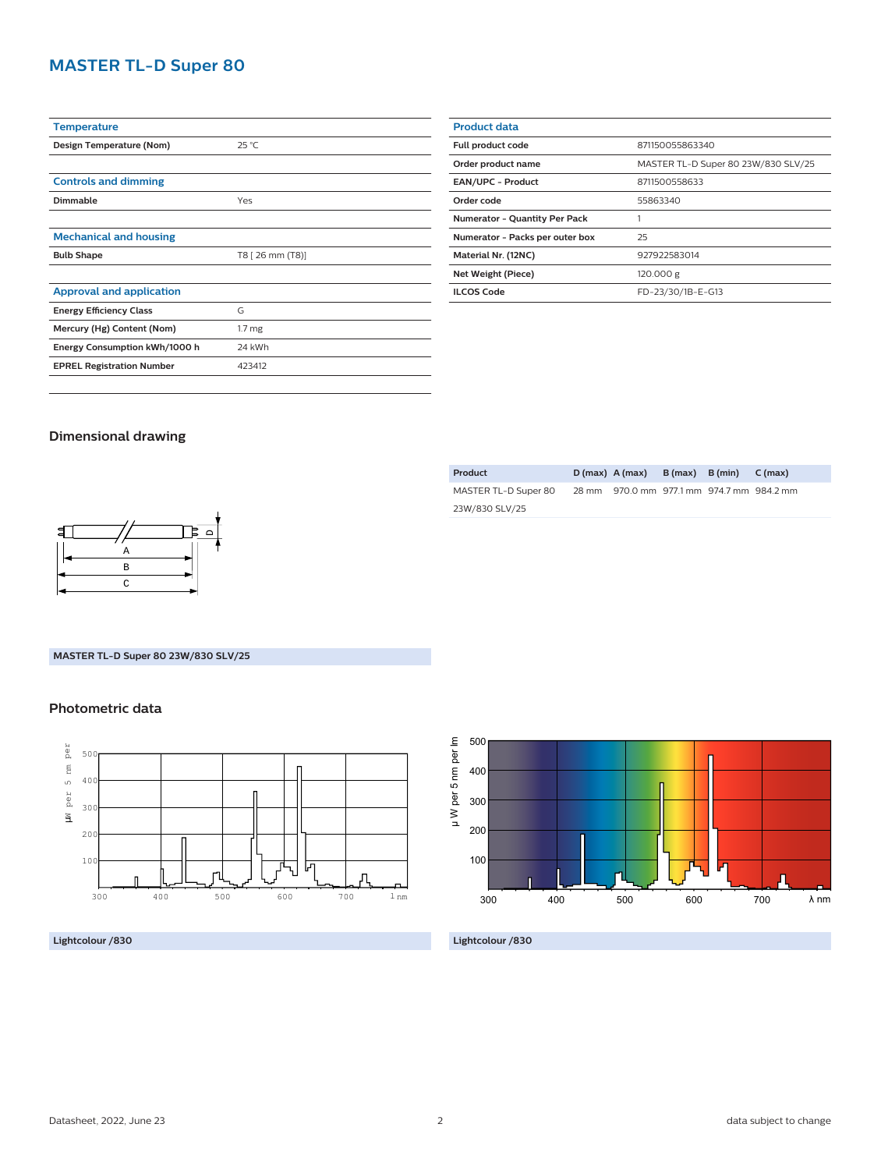# **MASTER TL-D Super 80**

| <b>Temperature</b>               |                   |  |  |
|----------------------------------|-------------------|--|--|
| Design Temperature (Nom)         | $25^{\circ}$ C    |  |  |
|                                  |                   |  |  |
| <b>Controls and dimming</b>      |                   |  |  |
| Dimmable                         | Yes               |  |  |
|                                  |                   |  |  |
| <b>Mechanical and housing</b>    |                   |  |  |
| <b>Bulb Shape</b>                | T8 [ 26 mm (T8)]  |  |  |
|                                  |                   |  |  |
| <b>Approval and application</b>  |                   |  |  |
| <b>Energy Efficiency Class</b>   | G                 |  |  |
| Mercury (Hg) Content (Nom)       | 1.7 <sub>mg</sub> |  |  |
| Energy Consumption kWh/1000 h    | 24 kWh            |  |  |
| <b>EPREL Registration Number</b> | 423412            |  |  |
|                                  |                   |  |  |

| <b>Product data</b>                  |                                     |  |  |
|--------------------------------------|-------------------------------------|--|--|
| Full product code                    | 871150055863340                     |  |  |
| Order product name                   | MASTER TL-D Super 80 23W/830 SLV/25 |  |  |
| <b>EAN/UPC - Product</b>             | 8711500558633                       |  |  |
| Order code                           | 55863340                            |  |  |
| <b>Numerator - Quantity Per Pack</b> |                                     |  |  |
| Numerator - Packs per outer box      | 25                                  |  |  |
| Material Nr. (12NC)                  | 927922583014                        |  |  |
| Net Weight (Piece)                   | 120.000 g                           |  |  |
| <b>ILCOS Code</b>                    | FD-23/30/1B-E-G13                   |  |  |
|                                      |                                     |  |  |

## **Dimensional drawing**

| - |               |  |
|---|---------------|--|
|   | Α             |  |
|   | B             |  |
|   | $\mathcal{C}$ |  |

### **MASTER TL-D Super 80 23W/830 SLV/25**

## **Photometric data**



**Lightcolour /830**

| Product              | $D(max)$ A (max) B (max) B (min)          |  | $C$ (max) |
|----------------------|-------------------------------------------|--|-----------|
| MASTER TL-D Super 80 | 28 mm 970.0 mm 977.1 mm 974.7 mm 984.2 mm |  |           |
| 23W/830 SLV/25       |                                           |  |           |



**Lightcolour /830**